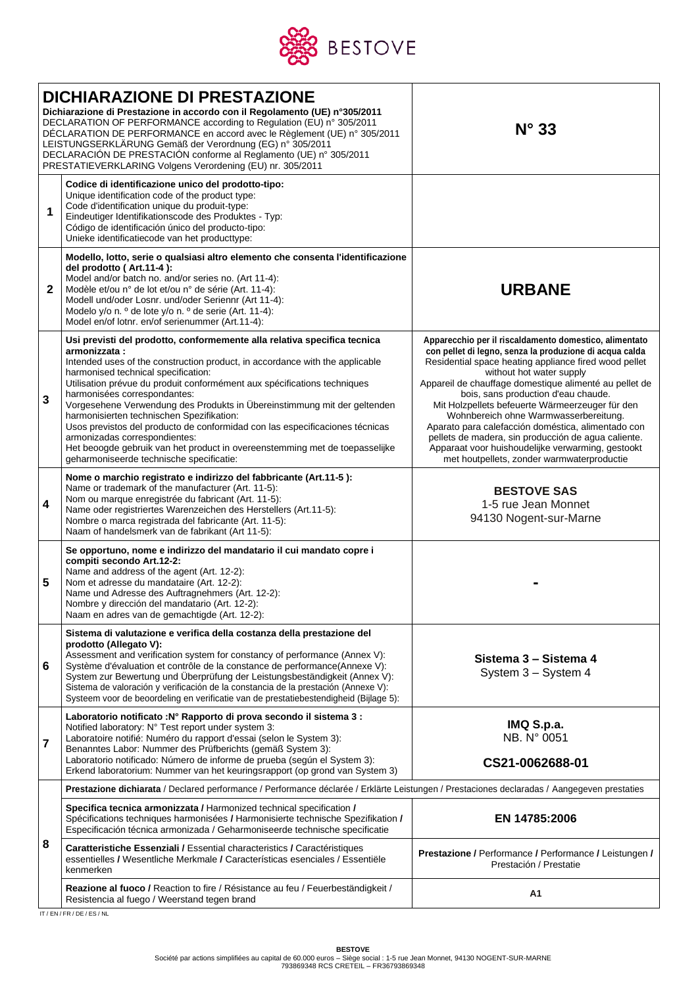

|              | <b>DICHIARAZIONE DI PRESTAZIONE</b><br>Dichiarazione di Prestazione in accordo con il Regolamento (UE) n°305/2011<br>DECLARATION OF PERFORMANCE according to Regulation (EU) n° 305/2011<br>DÉCLARATION DE PERFORMANCE en accord avec le Règlement (UE) n° 305/2011<br>LEISTUNGSERKLÄRUNG Gemäß der Verordnung (EG) n° 305/2011<br>DECLARACIÓN DE PRESTACIÓN conforme al Reglamento (UE) nº 305/2011<br>PRESTATIEVERKLARING Volgens Verordening (EU) nr. 305/2011                                                                                                                                                                                                                                | $N^{\circ}$ 33                                                                                                                                                                                                                                                                                                                                                                                                                                                                                                                                                                                                      |  |  |  |
|--------------|--------------------------------------------------------------------------------------------------------------------------------------------------------------------------------------------------------------------------------------------------------------------------------------------------------------------------------------------------------------------------------------------------------------------------------------------------------------------------------------------------------------------------------------------------------------------------------------------------------------------------------------------------------------------------------------------------|---------------------------------------------------------------------------------------------------------------------------------------------------------------------------------------------------------------------------------------------------------------------------------------------------------------------------------------------------------------------------------------------------------------------------------------------------------------------------------------------------------------------------------------------------------------------------------------------------------------------|--|--|--|
| 1            | Codice di identificazione unico del prodotto-tipo:<br>Unique identification code of the product type:<br>Code d'identification unique du produit-type:<br>Eindeutiger Identifikationscode des Produktes - Typ:<br>Código de identificación único del producto-tipo:<br>Unieke identificatiecode van het producttype:                                                                                                                                                                                                                                                                                                                                                                             |                                                                                                                                                                                                                                                                                                                                                                                                                                                                                                                                                                                                                     |  |  |  |
| $\mathbf{2}$ | Modello, lotto, serie o qualsiasi altro elemento che consenta l'identificazione<br>del prodotto (Art.11-4):<br>Model and/or batch no. and/or series no. (Art 11-4):<br>Modèle et/ou n° de lot et/ou n° de série (Art. 11-4):<br>Modell und/oder Losnr. und/oder Seriennr (Art 11-4):<br>Modelo y/o n. º de lote y/o n. º de serie (Art. 11-4):<br>Model en/of lotnr. en/of serienummer (Art.11-4):                                                                                                                                                                                                                                                                                               | <b>URBANE</b>                                                                                                                                                                                                                                                                                                                                                                                                                                                                                                                                                                                                       |  |  |  |
| 3            | Usi previsti del prodotto, conformemente alla relativa specifica tecnica<br>armonizzata:<br>Intended uses of the construction product, in accordance with the applicable<br>harmonised technical specification:<br>Utilisation prévue du produit conformément aux spécifications techniques<br>harmonisées correspondantes:<br>Vorgesehene Verwendung des Produkts in Übereinstimmung mit der geltenden<br>harmonisierten technischen Spezifikation:<br>Usos previstos del producto de conformidad con las especificaciones técnicas<br>armonizadas correspondientes:<br>Het beoogde gebruik van het product in overeenstemming met de toepasselijke<br>geharmoniseerde technische specificatie: | Apparecchio per il riscaldamento domestico, alimentato<br>con pellet di legno, senza la produzione di acqua calda<br>Residential space heating appliance fired wood pellet<br>without hot water supply<br>Appareil de chauffage domestique alimenté au pellet de<br>bois, sans production d'eau chaude.<br>Mit Holzpellets befeuerte Wärmeerzeuger für den<br>Wohnbereich ohne Warmwasserbereitung.<br>Aparato para calefacción doméstica, alimentado con<br>pellets de madera, sin producción de agua caliente.<br>Apparaat voor huishoudelijke verwarming, gestookt<br>met houtpellets, zonder warmwaterproductie |  |  |  |
| 4            | Nome o marchio registrato e indirizzo del fabbricante (Art.11-5):<br>Name or trademark of the manufacturer (Art. 11-5):<br>Nom ou marque enregistrée du fabricant (Art. 11-5):<br>Name oder registriertes Warenzeichen des Herstellers (Art.11-5):<br>Nombre o marca registrada del fabricante (Art. 11-5):<br>Naam of handelsmerk van de fabrikant (Art 11-5):                                                                                                                                                                                                                                                                                                                                  | <b>BESTOVE SAS</b><br>1-5 rue Jean Monnet<br>94130 Nogent-sur-Marne                                                                                                                                                                                                                                                                                                                                                                                                                                                                                                                                                 |  |  |  |
| 5            | Se opportuno, nome e indirizzo del mandatario il cui mandato copre i<br>compiti secondo Art.12-2:<br>Name and address of the agent (Art. 12-2):<br>Nom et adresse du mandataire (Art. 12-2):<br>Name und Adresse des Auftragnehmers (Art. 12-2):<br>Nombre y dirección del mandatario (Art. 12-2):<br>Naam en adres van de gemachtigde (Art. 12-2):                                                                                                                                                                                                                                                                                                                                              |                                                                                                                                                                                                                                                                                                                                                                                                                                                                                                                                                                                                                     |  |  |  |
| 6            | Sistema di valutazione e verifica della costanza della prestazione del<br>prodotto (Allegato V):<br>Assessment and verification system for constancy of performance (Annex V):<br>Système d'évaluation et contrôle de la constance de performance(Annexe V):<br>System zur Bewertung und Überprüfung der Leistungsbeständigkeit (Annex V):<br>Sistema de valoración y verificación de la constancia de la prestación (Annexe V):<br>Systeem voor de beoordeling en verificatie van de prestatiebestendigheid (Bijlage 5):                                                                                                                                                                        | Sistema 3 - Sistema 4<br>System 3 - System 4                                                                                                                                                                                                                                                                                                                                                                                                                                                                                                                                                                        |  |  |  |
| 7            | Laboratorio notificato : Nº Rapporto di prova secondo il sistema 3 :<br>Notified laboratory: N° Test report under system 3:<br>Laboratoire notifié: Numéro du rapport d'essai (selon le System 3):<br>Benanntes Labor: Nummer des Prüfberichts (gemäß System 3):<br>Laboratorio notificado: Número de informe de prueba (según el System 3):<br>Erkend laboratorium: Nummer van het keuringsrapport (op grond van System 3)                                                                                                                                                                                                                                                                      | IMQ S.p.a.<br>NB. N° 0051<br>CS21-0062688-01                                                                                                                                                                                                                                                                                                                                                                                                                                                                                                                                                                        |  |  |  |
|              | Prestazione dichiarata / Declared performance / Performance déclarée / Erklärte Leistungen / Prestaciones declaradas / Aangegeven prestaties                                                                                                                                                                                                                                                                                                                                                                                                                                                                                                                                                     |                                                                                                                                                                                                                                                                                                                                                                                                                                                                                                                                                                                                                     |  |  |  |
| 8            | Specifica tecnica armonizzata / Harmonized technical specification /<br>Spécifications techniques harmonisées / Harmonisierte technische Spezifikation /<br>Especificación técnica armonizada / Geharmoniseerde technische specificatie                                                                                                                                                                                                                                                                                                                                                                                                                                                          | EN 14785:2006                                                                                                                                                                                                                                                                                                                                                                                                                                                                                                                                                                                                       |  |  |  |
|              | Caratteristiche Essenziali / Essential characteristics / Caractéristiques<br>essentielles / Wesentliche Merkmale / Características esenciales / Essentiële<br>kenmerken                                                                                                                                                                                                                                                                                                                                                                                                                                                                                                                          | Prestazione / Performance / Performance / Leistungen /<br>Prestación / Prestatie                                                                                                                                                                                                                                                                                                                                                                                                                                                                                                                                    |  |  |  |
|              | Reazione al fuoco / Reaction to fire / Résistance au feu / Feuerbeständigkeit /<br>Resistencia al fuego / Weerstand tegen brand                                                                                                                                                                                                                                                                                                                                                                                                                                                                                                                                                                  | Α1                                                                                                                                                                                                                                                                                                                                                                                                                                                                                                                                                                                                                  |  |  |  |

IT / EN / FR / DE / ES / NL